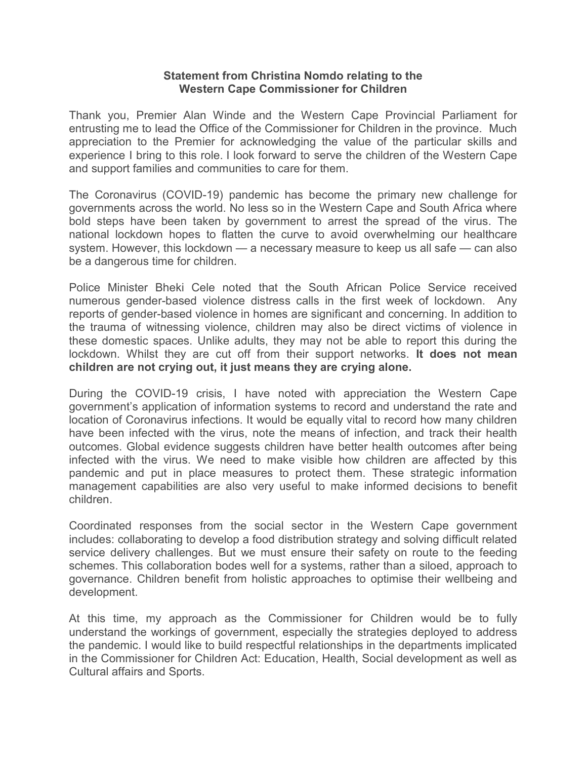## Statement from Christina Nomdo relating to the Western Cape Commissioner for Children

Thank you, Premier Alan Winde and the Western Cape Provincial Parliament for entrusting me to lead the Office of the Commissioner for Children in the province. Much appreciation to the Premier for acknowledging the value of the particular skills and experience I bring to this role. I look forward to serve the children of the Western Cape and support families and communities to care for them.

The Coronavirus (COVID-19) pandemic has become the primary new challenge for governments across the world. No less so in the Western Cape and South Africa where bold steps have been taken by government to arrest the spread of the virus. The national lockdown hopes to flatten the curve to avoid overwhelming our healthcare system. However, this lockdown — a necessary measure to keep us all safe — can also be a dangerous time for children.

Police Minister Bheki Cele noted that the South African Police Service received numerous gender-based violence distress calls in the first week of lockdown. Any reports of gender-based violence in homes are significant and concerning. In addition to the trauma of witnessing violence, children may also be direct victims of violence in these domestic spaces. Unlike adults, they may not be able to report this during the lockdown. Whilst they are cut off from their support networks. It does not mean children are not crying out, it just means they are crying alone.

During the COVID-19 crisis, I have noted with appreciation the Western Cape government's application of information systems to record and understand the rate and location of Coronavirus infections. It would be equally vital to record how many children have been infected with the virus, note the means of infection, and track their health outcomes. Global evidence suggests children have better health outcomes after being infected with the virus. We need to make visible how children are affected by this pandemic and put in place measures to protect them. These strategic information management capabilities are also very useful to make informed decisions to benefit children.

Coordinated responses from the social sector in the Western Cape government includes: collaborating to develop a food distribution strategy and solving difficult related service delivery challenges. But we must ensure their safety on route to the feeding schemes. This collaboration bodes well for a systems, rather than a siloed, approach to governance. Children benefit from holistic approaches to optimise their wellbeing and development.

At this time, my approach as the Commissioner for Children would be to fully understand the workings of government, especially the strategies deployed to address the pandemic. I would like to build respectful relationships in the departments implicated in the Commissioner for Children Act: Education, Health, Social development as well as Cultural affairs and Sports.